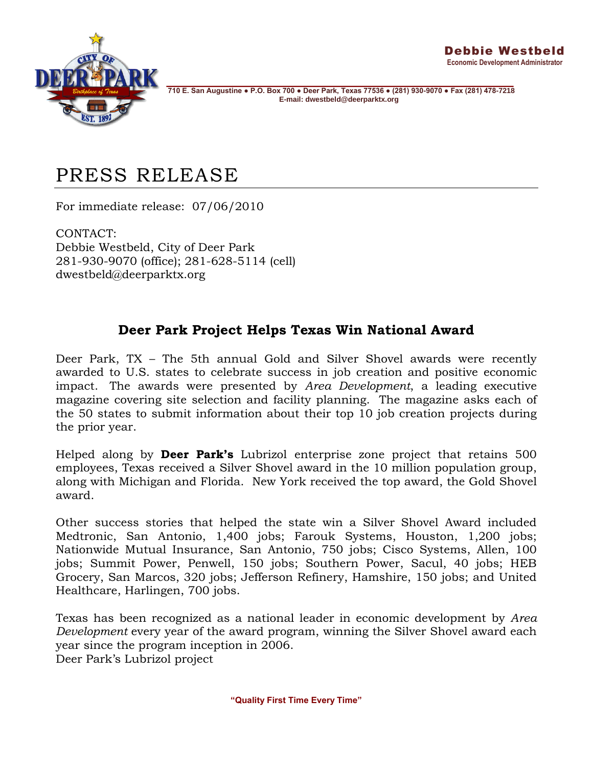

**710 E. San Augustine ● P.O. Box 700 ● Deer Park, Texas 77536 ● (281) 930-9070 ● Fax (281) 478-7218 E-mail: dwestbeld@deerparktx.org** 

## PRESS RELEASE

For immediate release: 07/06/2010

CONTACT: Debbie Westbeld, City of Deer Park 281-930-9070 (office); 281-628-5114 (cell) dwestbeld@deerparktx.org

## **Deer Park Project Helps Texas Win National Award**

Deer Park, TX – The 5th annual Gold and Silver Shovel awards were recently [awarded](http://www.areadevelopment.com/AnnualReports/july2010/2010-Silver-Shovel-Texas-Michigan-Florida-10000665.shtml) to U.S. states to celebrate success in job creation and positive economic impact. The awards were presented by *[Area Development](http://www.areadevelopment.com/)*, a leading executive magazine covering site selection and facility planning. The magazine asks each of the 50 states to submit information about their top 10 job creation projects during the prior year.

Helped along by **Deer Park's** Lubrizol enterprise zone project that retains 500 employees, Texas received a Silver Shovel award in the 10 million population group, along with Michigan and Florida. New York received the top award, the Gold Shovel award.

Other success stories that helped the state win a Silver Shovel Award included Medtronic, San Antonio, 1,400 jobs; Farouk Systems, Houston, 1,200 jobs; Nationwide Mutual Insurance, San Antonio, 750 jobs; Cisco Systems, Allen, 100 jobs; Summit Power, Penwell, 150 jobs; Southern Power, Sacul, 40 jobs; HEB Grocery, San Marcos, 320 jobs; Jefferson Refinery, Hamshire, 150 jobs; and United Healthcare, Harlingen, 700 jobs.

Texas has been recognized as a national leader in economic development by *Area Development* every year of the award program, winning the Silver Shovel award each year since the program inception in 2006.

Deer Park's Lubrizol project